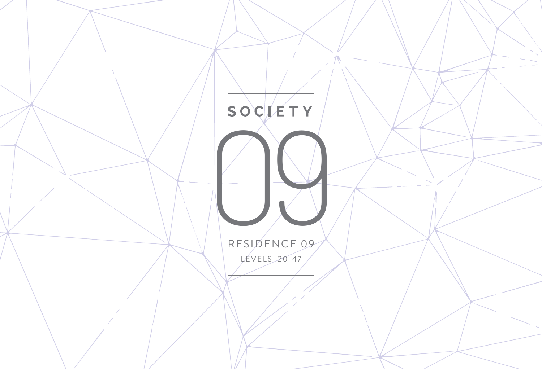